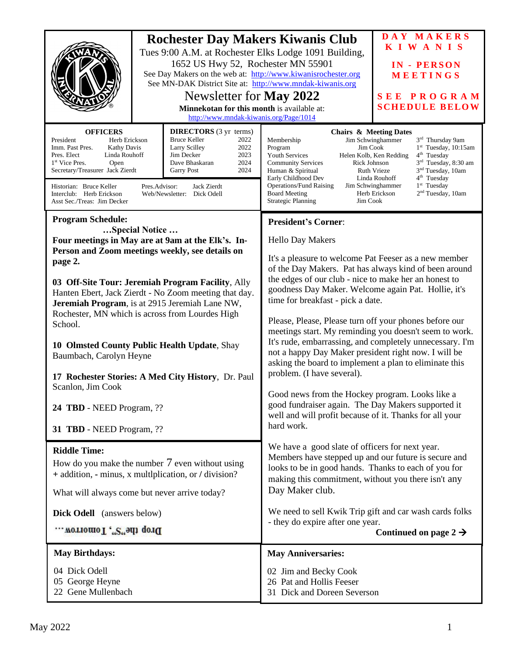| <b>Rochester Day Makers Kiwanis Club</b><br>Tues 9:00 A.M. at Rochester Elks Lodge 1091 Building,<br>1652 US Hwy 52, Rochester MN 55901<br>See Day Makers on the web at: http://www.kiwanisrochester.org<br>See MN-DAK District Site at: http://www.mndak-kiwanis.org<br>Newsletter for May 2022<br>Minnekotan for this month is available at:<br>http://www.mndak-kiwanis.org/Page/1014                                                                                                                                                                                        |  | DAY MAKERS<br><b>KIWANIS</b><br><b>IN - PERSON</b><br>MEETINGS<br>SEE PROGRAM<br><b>SCHEDULE BELOW</b>                                                                                                                                                                                                                                                                                                                                                                                                                                                                                                                                                                                                                                                                                                           |  |  |
|---------------------------------------------------------------------------------------------------------------------------------------------------------------------------------------------------------------------------------------------------------------------------------------------------------------------------------------------------------------------------------------------------------------------------------------------------------------------------------------------------------------------------------------------------------------------------------|--|------------------------------------------------------------------------------------------------------------------------------------------------------------------------------------------------------------------------------------------------------------------------------------------------------------------------------------------------------------------------------------------------------------------------------------------------------------------------------------------------------------------------------------------------------------------------------------------------------------------------------------------------------------------------------------------------------------------------------------------------------------------------------------------------------------------|--|--|
| <b>OFFICERS</b><br><b>DIRECTORS</b> (3 yr terms)<br><b>Bruce Keller</b><br>2022<br>President<br>Herb Erickson<br>Imm. Past Pres.<br><b>Kathy Davis</b><br>Larry Scilley<br>2022<br>2023<br>Jim Decker<br>Pres. Elect<br>Linda Rouhoff<br>2024<br>1 <sup>st</sup> Vice Pres.<br>Open<br>Dave Bhaskaran<br>Secretary/Treasurer Jack Zierdt<br>2024<br><b>Garry Post</b><br>Historian: Bruce Keller<br>Pres.Advisor:<br>Jack Zierdt<br>Interclub: Herb Erickson<br>Web/Newsletter: Dick Odell<br>Asst Sec./Treas: Jim Decker                                                       |  | <b>Chairs &amp; Meeting Dates</b><br>3rd Thursday 9am<br>Membership<br>Jim Schwinghammer<br>Jim Cook<br>$1st$ Tuesday, 10:15am<br>Program<br><b>Youth Services</b><br>Helen Kolb, Ken Redding<br>$4th$ Tuesday<br>3 <sup>rd</sup> Tuesday, 8:30 am<br>Rick Johnson<br><b>Community Services</b><br>3 <sup>nd</sup> Tuesday, 10am<br>Ruth Vrieze<br>Human & Spiritual<br>4 <sup>th</sup> Tuesday<br>Early Childhood Dev<br>Linda Rouhoff<br><b>Operations/Fund Raising</b><br>$1st$ Tuesday<br>Jim Schwinghammer<br>2 <sup>nd</sup> Tuesday, 10am<br><b>Board Meeting</b><br>Herb Erickson<br>Jim Cook<br><b>Strategic Planning</b>                                                                                                                                                                               |  |  |
| <b>Program Schedule:</b>                                                                                                                                                                                                                                                                                                                                                                                                                                                                                                                                                        |  | <b>President's Corner:</b>                                                                                                                                                                                                                                                                                                                                                                                                                                                                                                                                                                                                                                                                                                                                                                                       |  |  |
| Special Notice<br>Four meetings in May are at 9am at the Elk's. In-<br>Person and Zoom meetings weekly, see details on<br>page 2.<br>03 Off-Site Tour: Jeremiah Program Facility, Ally<br>Hanten Ebert, Jack Zierdt - No Zoom meeting that day.<br>Jeremiah Program, is at 2915 Jeremiah Lane NW,<br>Rochester, MN which is across from Lourdes High<br>School.<br>10 Olmsted County Public Health Update, Shay<br>Baumbach, Carolyn Heyne<br>17 Rochester Stories: A Med City History, Dr. Paul<br>Scanlon, Jim Cook<br>24 TBD - NEED Program, ??<br>31 TBD - NEED Program, ?? |  | <b>Hello Day Makers</b><br>It's a pleasure to welcome Pat Feeser as a new member<br>of the Day Makers. Pat has always kind of been around<br>the edges of our club - nice to make her an honest to<br>goodness Day Maker. Welcome again Pat. Hollie, it's<br>time for breakfast - pick a date.<br>Please, Please, Please turn off your phones before our<br>meetings start. My reminding you doesn't seem to work.<br>It's rude, embarrassing, and completely unnecessary. I'm<br>not a happy Day Maker president right now. I will be<br>asking the board to implement a plan to eliminate this<br>problem. (I have several).<br>Good news from the Hockey program. Looks like a<br>good fundraiser again. The Day Makers supported it<br>well and will profit because of it. Thanks for all your<br>hard work. |  |  |
| <b>Riddle Time:</b><br>How do you make the number $7$ even without using<br>+ addition, - minus, x multiplication, or / division?<br>What will always come but never arrive today?<br><b>Dick Odell</b> (answers below)<br>Drop the"S", Tomorrow                                                                                                                                                                                                                                                                                                                                |  | We have a good slate of officers for next year.<br>Members have stepped up and our future is secure and<br>looks to be in good hands. Thanks to each of you for<br>making this commitment, without you there isn't any<br>Day Maker club.<br>We need to sell Kwik Trip gift and car wash cards folks<br>- they do expire after one year.<br>Continued on page $2 \rightarrow$                                                                                                                                                                                                                                                                                                                                                                                                                                    |  |  |
| <b>May Birthdays:</b>                                                                                                                                                                                                                                                                                                                                                                                                                                                                                                                                                           |  | <b>May Anniversaries:</b>                                                                                                                                                                                                                                                                                                                                                                                                                                                                                                                                                                                                                                                                                                                                                                                        |  |  |
| 04 Dick Odell<br>05 George Heyne<br>22 Gene Mullenbach                                                                                                                                                                                                                                                                                                                                                                                                                                                                                                                          |  | 02 Jim and Becky Cook<br>26 Pat and Hollis Feeser<br>31 Dick and Doreen Severson                                                                                                                                                                                                                                                                                                                                                                                                                                                                                                                                                                                                                                                                                                                                 |  |  |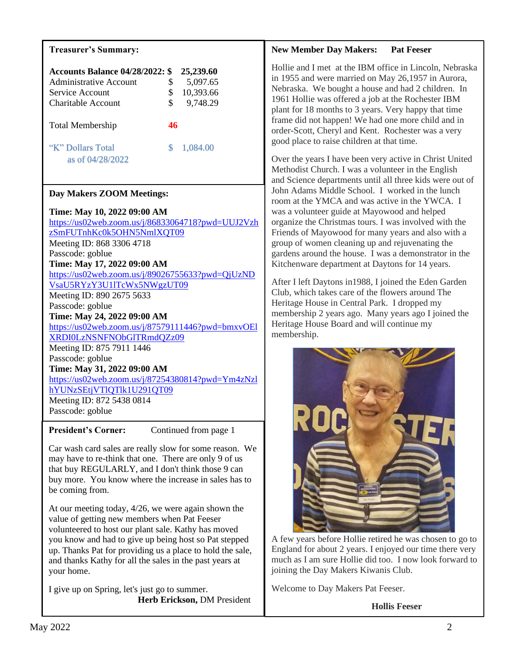## **Treasurer's Summary:**

| <b>Accounts Balance 04/28/2022: \$</b><br>Administrative Account<br>Service Account<br>Charitable Account | \$<br>\$<br>S | 25,239.60<br>5,097.65<br>10,393.66<br>9,748.29 |
|-----------------------------------------------------------------------------------------------------------|---------------|------------------------------------------------|
| <b>Total Membership</b>                                                                                   |               |                                                |
| "K" Dollars Total<br>as of 04/28/2022                                                                     | S             | 1,084.00                                       |

## **Day Makers ZOOM Meetings:**

**Time: May 10, 2022 09:00 AM** [https://us02web.zoom.us/j/86833064718?pwd=UUJ2Vzh](https://us02web.zoom.us/j/86833064718?pwd=UUJ2VzhzSmFUTnhKc0k5OHN5NmlXQT09) [zSmFUTnhKc0k5OHN5NmlXQT09](https://us02web.zoom.us/j/86833064718?pwd=UUJ2VzhzSmFUTnhKc0k5OHN5NmlXQT09) Meeting ID: 868 3306 4718 Passcode: goblue **Time: May 17, 2022 09:00 AM** [https://us02web.zoom.us/j/89026755633?pwd=QjUzND](https://us02web.zoom.us/j/89026755633?pwd=QjUzNDVsaU5RYzY3U1lTcWx5NWgzUT09) [VsaU5RYzY3U1lTcWx5NWgzUT09](https://us02web.zoom.us/j/89026755633?pwd=QjUzNDVsaU5RYzY3U1lTcWx5NWgzUT09) Meeting ID: 890 2675 5633 Passcode: goblue **Time: May 24, 2022 09:00 AM** [https://us02web.zoom.us/j/87579111446?pwd=bmxvOEl](https://us02web.zoom.us/j/87579111446?pwd=bmxvOElXRDI0LzNSNFNObGlTRmdQZz09) [XRDI0LzNSNFNObGlTRmdQZz09](https://us02web.zoom.us/j/87579111446?pwd=bmxvOElXRDI0LzNSNFNObGlTRmdQZz09) Meeting ID: 875 7911 1446 Passcode: goblue **Time: May 31, 2022 09:00 AM** [https://us02web.zoom.us/j/87254380814?pwd=Ym4zNzl](https://us02web.zoom.us/j/87254380814?pwd=Ym4zNzlhYUNzSEtjVTlQTlk1U291QT09) [hYUNzSEtjVTlQTlk1U291QT09](https://us02web.zoom.us/j/87254380814?pwd=Ym4zNzlhYUNzSEtjVTlQTlk1U291QT09) Meeting ID: 872 5438 0814 Passcode: goblue

**President's Corner:** Continued from page 1

Car wash card sales are really slow for some reason. We may have to re-think that one. There are only 9 of us that buy REGULARLY, and I don't think those 9 can buy more. You know where the increase in sales has to be coming from.

At our meeting today, 4/26, we were again shown the value of getting new members when Pat Feeser volunteered to host our plant sale. Kathy has moved you know and had to give up being host so Pat stepped up. Thanks Pat for providing us a place to hold the sale, and thanks Kathy for all the sales in the past years at your home.

I give up on Spring, let's just go to summer.  **Herb Erickson,** DM President

#### **New Member Day Makers: Pat Feeser**

Hollie and I met at the IBM office in Lincoln, Nebraska in 1955 and were married on May 26,1957 in Aurora, Nebraska. We bought a house and had 2 children. In 1961 Hollie was offered a job at the Rochester IBM plant for 18 months to 3 years. Very happy that time frame did not happen! We had one more child and in order-Scott, Cheryl and Kent. Rochester was a very good place to raise children at that time.

Over the years I have been very active in Christ United Methodist Church. I was a volunteer in the English and Science departments until all three kids were out of John Adams Middle School. I worked in the lunch room at the YMCA and was active in the YWCA. I was a volunteer guide at Mayowood and helped organize the Christmas tours. I was involved with the Friends of Mayowood for many years and also with a group of women cleaning up and rejuvenating the gardens around the house. I was a demonstrator in the Kitchenware department at Daytons for 14 years.

After I left Daytons in1988, I joined the Eden Garden Club, which takes care of the flowers around The Heritage House in Central Park. I dropped my membership 2 years ago. Many years ago I joined the Heritage House Board and will continue my membership.



A few years before Hollie retired he was chosen to go to England for about 2 years. I enjoyed our time there very much as I am sure Hollie did too. I now look forward to joining the Day Makers Kiwanis Club.

Welcome to Day Makers Pat Feeser.

 **Hollis Feeser**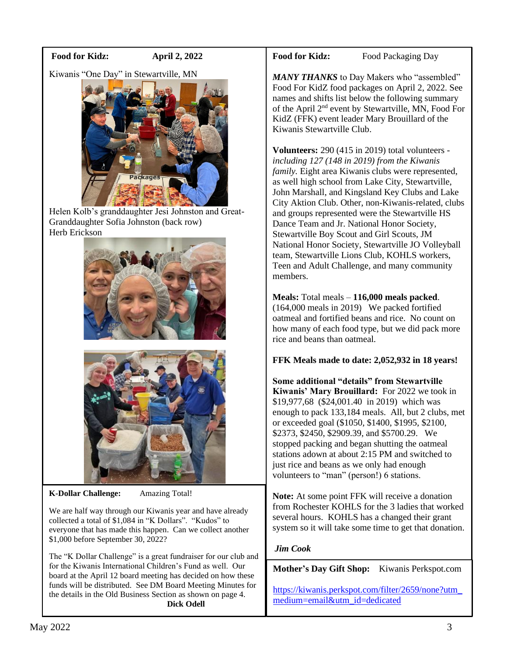#### **Food for Kidz: April 2, 2022**

Kiwanis "One Day" in Stewartville, MN



Helen Kolb's granddaughter Jesi Johnston and Great-Granddaughter Sofia Johnston (back row) Herb Erickson



**K-Dollar Challenge:** Amazing Total!

We are half way through our Kiwanis year and have already collected a total of \$1,084 in "K Dollars". "Kudos" to everyone that has made this happen. Can we collect another \$1,000 before September 30, 2022?

The "K Dollar Challenge" is a great fundraiser for our club and for the Kiwanis International Children's Fund as well. Our board at the April 12 board meeting has decided on how these funds will be distributed. See DM Board Meeting Minutes for the details in the Old Business Section as shown on page 4.  **Dick Odell**

#### Food for Kidz: Food Packaging Day

MANY THANKS to Day Makers who "assembled" Food For KidZ food packages on April 2, 2022. See names and shifts list below the following summary of the April 2nd event by Stewartville, MN, Food For KidZ (FFK) event leader Mary Brouillard of the Kiwanis Stewartville Club.

**Volunteers:** 290 (415 in 2019) total volunteers *including 127 (148 in 2019) from the Kiwanis family.* Eight area Kiwanis clubs were represented, as well high school from Lake City, Stewartville, John Marshall, and Kingsland Key Clubs and Lake City Aktion Club. Other, non-Kiwanis-related, clubs and groups represented were the Stewartville HS Dance Team and Jr. National Honor Society, Stewartville Boy Scout and Girl Scouts, JM National Honor Society, Stewartville JO Volleyball team, Stewartville Lions Club, KOHLS workers, Teen and Adult Challenge, and many community members.

**Meals:** Total meals – **116,000 meals packed**. (164,000 meals in 2019) We packed fortified oatmeal and fortified beans and rice. No count on how many of each food type, but we did pack more rice and beans than oatmeal.

**FFK Meals made to date: 2,052,932 in 18 years!**

**Some additional "details" from Stewartville Kiwanis' Mary Brouillard:** For 2022 we took in \$19,977,68 (\$24,001.40 in 2019) which was enough to pack 133,184 meals. All, but 2 clubs, met or exceeded goal (\$1050, \$1400, \$1995, \$2100, \$2373, \$2450, \$2909.39, and \$5700.29. We stopped packing and began shutting the oatmeal stations adown at about 2:15 PM and switched to just rice and beans as we only had enough volunteers to "man" (person!) 6 stations.

**Note:** At some point FFK will receive a donation from Rochester KOHLS for the 3 ladies that worked several hours. KOHLS has a changed their grant system so it will take some time to get that donation.

## *Jim Cook*

**Mother's Day Gift Shop:** Kiwanis Perkspot.com

[https://kiwanis.perkspot.com/filter/2659/none?utm\\_](https://kiwanis.perkspot.com/filter/2659/none?utm_medium=email&utm_id=dedicated) [medium=email&utm\\_id=dedicated](https://kiwanis.perkspot.com/filter/2659/none?utm_medium=email&utm_id=dedicated)